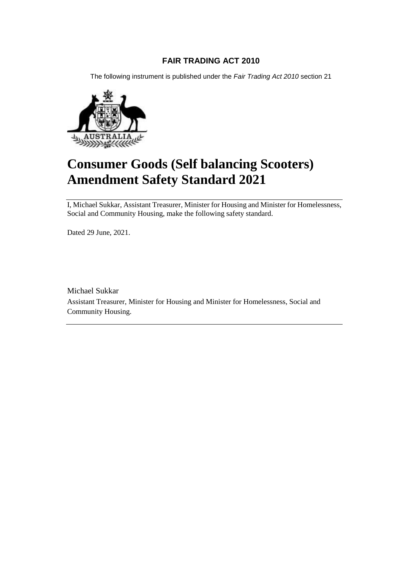### **FAIR TRADING ACT 2010**

The following instrument is published under the *Fair Trading Act 2010* section 21



# **Consumer Goods (Self balancing Scooters) Amendment Safety Standard 2021**

I, Michael Sukkar, Assistant Treasurer, Minister for Housing and Minister for Homelessness, Social and Community Housing, make the following safety standard.

Dated 29 June, 2021.

Michael Sukkar Assistant Treasurer, Minister for Housing and Minister for Homelessness, Social and Community Housing.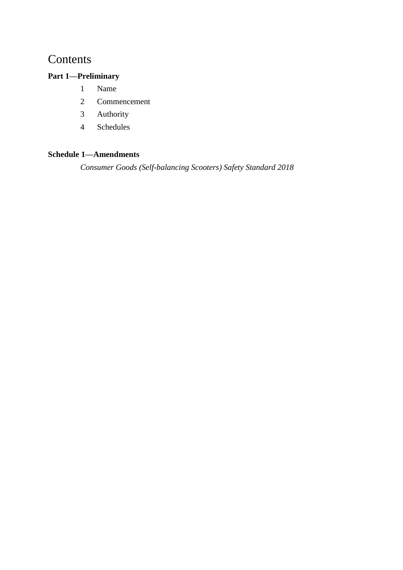## Contents

## **Part 1—Preliminary**

- 1 Name
- 2 Commencement
- 3 Authority
- 4 Schedules

## **Schedule 1—Amendments**

*Consumer Goods (Self-balancing Scooters) Safety Standard 2018*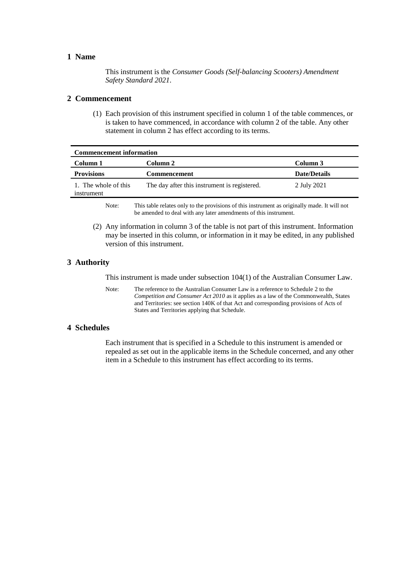#### **1 Name**

This instrument is the *Consumer Goods (Self-balancing Scooters) Amendment Safety Standard 2021*.

#### **2 Commencement**

(1) Each provision of this instrument specified in column 1 of the table commences, or is taken to have commenced, in accordance with column 2 of the table. Any other statement in column 2 has effect according to its terms.

| <b>Commencement information</b>    |                                              |                     |
|------------------------------------|----------------------------------------------|---------------------|
| Column 1                           | Column 2                                     | Column 3            |
| <b>Provisions</b>                  | <b>Commencement</b>                          | <b>Date/Details</b> |
| 1. The whole of this<br>instrument | The day after this instrument is registered. | 2 July 2021         |

Note: This table relates only to the provisions of this instrument as originally made. It will not be amended to deal with any later amendments of this instrument.

(2) Any information in column 3 of the table is not part of this instrument. Information may be inserted in this column, or information in it may be edited, in any published version of this instrument.

#### **3 Authority**

This instrument is made under subsection 104(1) of the Australian Consumer Law.

Note: The reference to the Australian Consumer Law is a reference to Schedule 2 to the *Competition and Consumer Act 2010* as it applies as a law of the Commonwealth, States and Territories: see section 140K of that Act and corresponding provisions of Acts of States and Territories applying that Schedule.

#### **4 Schedules**

Each instrument that is specified in a Schedule to this instrument is amended or repealed as set out in the applicable items in the Schedule concerned, and any other item in a Schedule to this instrument has effect according to its terms.